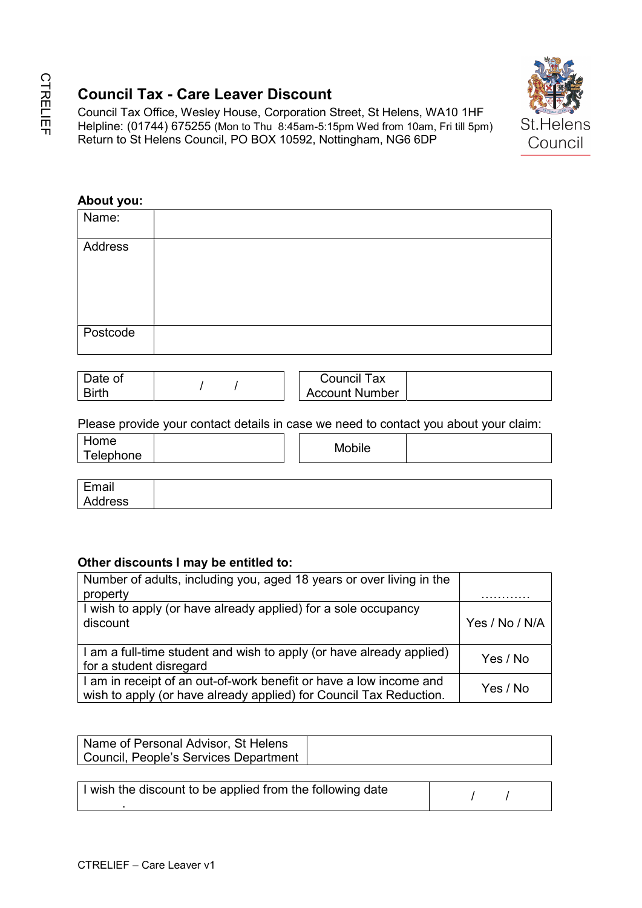# Council Tax - Care Leaver Discount



## About you:

|                                                               |          |   | Return to St Helens Council, PO BOX 10592, Nottingham, NG6 6DP                                                                           |                |
|---------------------------------------------------------------|----------|---|------------------------------------------------------------------------------------------------------------------------------------------|----------------|
| About you:                                                    |          |   |                                                                                                                                          |                |
| Name:                                                         |          |   |                                                                                                                                          |                |
| <b>Address</b>                                                |          |   |                                                                                                                                          |                |
| Postcode                                                      |          |   |                                                                                                                                          |                |
| Date of<br><b>Birth</b>                                       | $\prime$ | I | <b>Council Tax</b><br><b>Account Number</b>                                                                                              |                |
|                                                               |          |   | Please provide your contact details in case we need to contact you about your claim:                                                     |                |
| Home<br>Telephone                                             |          |   | <b>Mobile</b>                                                                                                                            |                |
| Email<br><b>Address</b>                                       |          |   |                                                                                                                                          |                |
| Other discounts I may be entitled to:<br>property<br>discount |          |   | Number of adults, including you, aged 18 years or over living in the<br>I wish to apply (or have already applied) for a sole occupancy   | Yes / No / N/A |
| for a student disregard                                       |          |   | I am a full-time student and wish to apply (or have already applied)                                                                     | Yes / No       |
|                                                               |          |   | I am in receipt of an out-of-work benefit or have a low income and<br>wish to apply (or have already applied) for Council Tax Reduction. | Yes / No       |
|                                                               |          |   |                                                                                                                                          |                |

| Jate of      | l ax<br>Council       |  |
|--------------|-----------------------|--|
| <b>Birth</b> | <b>Account Number</b> |  |

| Home<br>Telephone                                      | Mobile |  |
|--------------------------------------------------------|--------|--|
|                                                        |        |  |
| $\Gamma$ and $\sim$ $\sim$ $\sim$ $\sim$ $\sim$ $\sim$ |        |  |

| .                                       |  |  |  |
|-----------------------------------------|--|--|--|
| $\mathbf{u}$<br>---<br>درد<br>. .<br>-- |  |  |  |

# Other discounts I may be entitled to:

| Number of adults, including you, aged 18 years or over living in the |                |
|----------------------------------------------------------------------|----------------|
| property                                                             |                |
| I wish to apply (or have already applied) for a sole occupancy       |                |
| discount                                                             | Yes / No / N/A |
|                                                                      |                |
| I am a full-time student and wish to apply (or have already applied) | Yes / No       |
| for a student disregard                                              |                |
| I am in receipt of an out-of-work benefit or have a low income and   | Yes / No       |
| wish to apply (or have already applied) for Council Tax Reduction.   |                |

| Name of Personal Advisor, St Helens   |  |
|---------------------------------------|--|
| Council, People's Services Department |  |

| I wish the discount to be applied from the following date |  |  |
|-----------------------------------------------------------|--|--|
|                                                           |  |  |